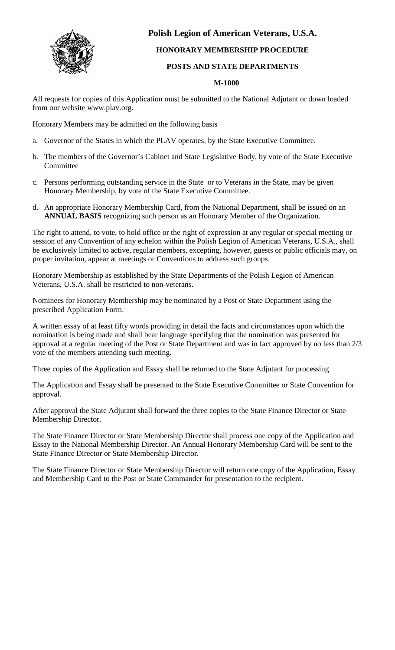

## **Polish Legion of American Veterans, U.S.A.**

## **HONORARY MEMBERSHIP PROCEDURE**

## **POSTS AND STATE DEPARTMENTS**

## **M-1000**

All requests for copies of this Application must be submitted to the National Adjutant or down loaded from our website www.plav.org.

Honorary Members may be admitted on the following basis

- a. Governor of the States in which the PLAV operates, by the State Executive Committee.
- b. The members of the Governor's Cabinet and State Legislative Body, by vote of the State Executive **Committee**
- c. Persons performing outstanding service in the State or to Veterans in the State, may be given Honorary Membership, by vote of the State Executive Committee.
- d. An appropriate Honorary Membership Card, from the National Department, shall be issued on an **ANNUAL BASIS** recognizing such person as an Honorary Member of the Organization.

The right to attend, to vote, to hold office or the right of expression at any regular or special meeting or session of any Convention of any echelon within the Polish Legion of American Veterans, U.S.A., shall be exclusively limited to active, regular members, excepting, however, guests or public officials may, on proper invitation, appear at meetings or Conventions to address such groups.

Honorary Membership as established by the State Departments of the Polish Legion of American Veterans, U.S.A. shall be restricted to non-veterans.

Nominees for Honorary Membership may be nominated by a Post or State Department using the prescribed Application Form.

A written essay of at least fifty words providing in detail the facts and circumstances upon which the nomination is being made and shall bear language specifying that the nomination was presented for approval at a regular meeting of the Post or State Department and was in fact approved by no less than 2/3 vote of the members attending such meeting.

Three copies of the Application and Essay shall be returned to the State Adjutant for processing

The Application and Essay shall be presented to the State Executive Committee or State Convention for approval.

After approval the State Adjutant shall forward the three copies to the State Finance Director or State Membership Director.

The State Finance Director or State Membership Director shall process one copy of the Application and Essay to the National Membership Director. An Annual Honorary Membership Card will be sent to the State Finance Director or State Membership Director.

The State Finance Director or State Membership Director will return one copy of the Application, Essay and Membership Card to the Post or State Commander for presentation to the recipient.